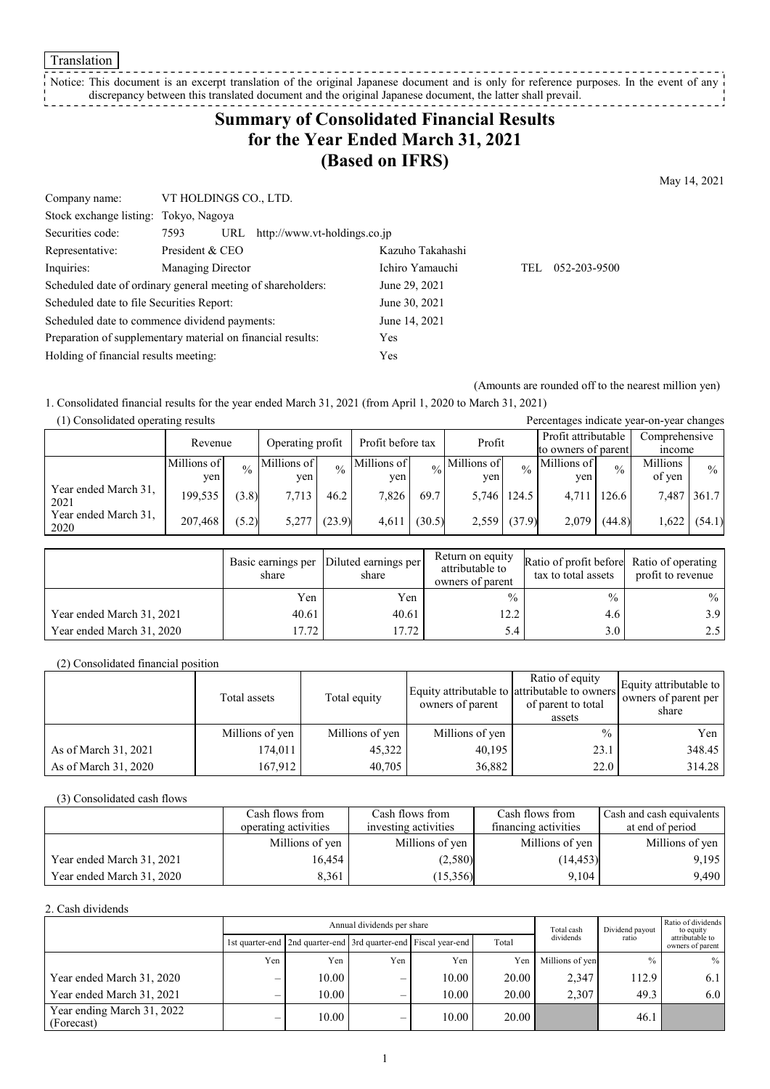Translation

Notice: This document is an excerpt translation of the original Japanese document and is only for reference purposes. In the event of any discrepancy between this translated document and the original Japanese document, the latter shall prevail. . . . . . . . . . . . . . . . . .

# **Summary of Consolidated Financial Results for the Year Ended March 31, 2021 (Based on IFRS)**

May 14, 2021

| Company name:                                               | VT HOLDINGS CO., LTD. |                              |     |              |
|-------------------------------------------------------------|-----------------------|------------------------------|-----|--------------|
| Stock exchange listing: Tokyo, Nagoya                       |                       |                              |     |              |
| Securities code:                                            | 7593<br>URL           | http://www.vt-holdings.co.jp |     |              |
| Representative:                                             | President & CEO       | Kazuho Takahashi             |     |              |
| Inquiries:                                                  | Managing Director     | Ichiro Yamauchi              | TEL | 052-203-9500 |
| Scheduled date of ordinary general meeting of shareholders: |                       | June 29, 2021                |     |              |
| Scheduled date to file Securities Report:                   |                       | June 30, 2021                |     |              |
| Scheduled date to commence dividend payments:               |                       | June 14, 2021                |     |              |
| Preparation of supplementary material on financial results: |                       | Yes                          |     |              |
| Holding of financial results meeting:                       |                       | Yes                          |     |              |

(Amounts are rounded off to the nearest million yen)

1. Consolidated financial results for the year ended March 31, 2021 (from April 1, 2020 to March 31, 2021)

| (1) Consolidated operating results |             |               |             |                   |             |        |                            |                     | Percentages indicate year-on-year changes |               |          |               |
|------------------------------------|-------------|---------------|-------------|-------------------|-------------|--------|----------------------------|---------------------|-------------------------------------------|---------------|----------|---------------|
|                                    | Revenue     |               |             | Operating profit  |             | Profit |                            |                     | Profit attributable                       | Comprehensive |          |               |
|                                    |             |               |             | Profit before tax |             |        |                            | to owners of parent |                                           | <i>n</i> come |          |               |
|                                    | Millions of | $\frac{0}{0}$ | Millions of | $\frac{0}{0}$     | Millions of |        | $\frac{1}{20}$ Millions of | $\frac{0}{0}$       | Millions of                               | $\frac{0}{0}$ | Millions | $\frac{0}{0}$ |
|                                    | yen.        |               | ven         |                   | ven         |        | ven                        |                     | ven                                       |               | of yen   |               |
| Year ended March 31,<br>2021       | 199,535     | (3.8)         | 7,713       | 46.2              | 7,826       | 69.7   | 5,746 124.5                |                     | 4.711                                     | 126.6         | 7,487    | 361.7         |
| Year ended March 31.<br>2020       | 207,468     | (5.2)         | 5.277       | (23.9)            | 4.611       | (30.5) |                            | $2,559$ $(37.9)$    | 2.079                                     | (44.8)        | .622     | (54.1)        |

|                           | Basic earnings per<br>share | Diluted earnings per<br>share | Return on equity<br>attributable to<br>owners of parent | Ratio of profit before Ratio of operating<br>tax to total assets | profit to revenue |
|---------------------------|-----------------------------|-------------------------------|---------------------------------------------------------|------------------------------------------------------------------|-------------------|
|                           | Yen                         | Yen                           | $\frac{0}{0}$                                           | $\frac{0}{0}$                                                    | $\%$              |
| Year ended March 31, 2021 | 40.61                       | 40.61                         | 12.2                                                    | 4.6                                                              | 3.9 <sup>°</sup>  |
| Year ended March 31, 2020 | 17.72                       | 17.72                         | 5.4                                                     | 3.0                                                              | 2.5               |

(2) Consolidated financial position

|                      | Total assets    | Total equity    | owners of parent | Ratio of equity<br>Equity attributable to attributable to owners<br>of parent to total<br>assets | Equity attributable to<br>owners of parent per<br>share |
|----------------------|-----------------|-----------------|------------------|--------------------------------------------------------------------------------------------------|---------------------------------------------------------|
|                      | Millions of yen | Millions of yen | Millions of yen  | $\%$                                                                                             | Yen                                                     |
| As of March 31, 2021 | 174,011         | 45,322          | 40.195           | 23.1                                                                                             | 348.45                                                  |
| As of March 31, 2020 | 167,912         | 40,705          | 36,882           | 22.0                                                                                             | 314.28                                                  |

(3) Consolidated cash flows

|                           | Cash flows from      | Cash flows from      | Cash flows from      | Cash and cash equivalents |
|---------------------------|----------------------|----------------------|----------------------|---------------------------|
|                           | operating activities | investing activities | financing activities | at end of period          |
|                           | Millions of yen      | Millions of yen      | Millions of yen      | Millions of yen           |
| Year ended March 31, 2021 | 16.454               | (2,580)              | (14, 453)            | 9,195                     |
| Year ended March 31, 2020 | 8,361                | (15,356)             | 9.104                | 9,490                     |

#### 2. Cash dividends

|                                          |     | Annual dividends per share                                            |     |       |       |                 | Dividend payout | Ratio of dividends<br>to equity     |  |
|------------------------------------------|-----|-----------------------------------------------------------------------|-----|-------|-------|-----------------|-----------------|-------------------------------------|--|
|                                          |     | 1st quarter-end   2nd quarter-end   3rd quarter-end   Fiscal year-end |     |       | Total | dividends       | ratio           | attributable to<br>owners of parent |  |
|                                          | Yen | Yen.                                                                  | Yen | Yen   | Yen   | Millions of yen | $\frac{0}{0}$   | $\%$                                |  |
| Year ended March 31, 2020                |     | 10.00                                                                 | –   | 10.00 | 20.00 | 2.347           | 112.9           | 6.1                                 |  |
| Year ended March 31, 2021                |     | 10.00                                                                 | –   | 10.00 | 20.00 | 2.307           | 49.3            | 6.0                                 |  |
| Year ending March 31, 2022<br>(Forecast) |     | 10.00                                                                 | –   | 10.00 | 20.00 |                 | 46.1            |                                     |  |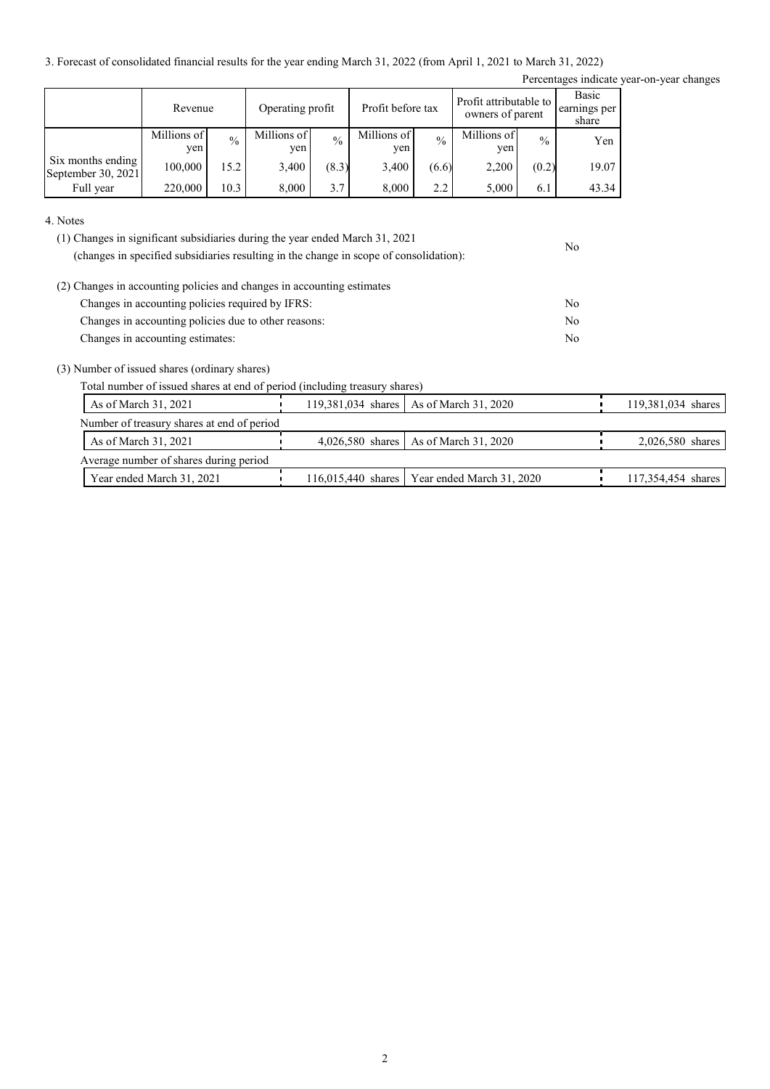3. Forecast of consolidated financial results for the year ending March 31, 2022 (from April 1, 2021 to March 31, 2022)

Percentages indicate year-on-year changes

No

|                                         | Revenue            |               | Operating profit   |               | Profit before tax  |               | Profit attributable to<br>owners of parent |               | Basic<br>earnings per<br>share |
|-----------------------------------------|--------------------|---------------|--------------------|---------------|--------------------|---------------|--------------------------------------------|---------------|--------------------------------|
|                                         | Millions of<br>ven | $\frac{0}{0}$ | Millions of<br>yen | $\frac{0}{0}$ | Millions of<br>yen | $\frac{0}{0}$ | Millions of<br>yen                         | $\frac{0}{0}$ | Yen                            |
| Six months ending<br>September 30, 2021 | 100,000            | 15.2          | 3,400              | (8.3)         | 3,400              | (6.6)         | 2,200                                      | (0.2)         | 19.07                          |
| Full year                               | 220,000            | 10.3          | 8.000              | 3.7           | 8,000              | 2.2           | 5,000                                      | 6.1           | 43.34                          |

4. Notes

| (1) Changes in significant subsidiaries during the year ended March 31, 2021           |  |
|----------------------------------------------------------------------------------------|--|
| (changes in specified subsidiaries resulting in the change in scope of consolidation): |  |

| (2) Changes in accounting policies and changes in accounting estimates |     |
|------------------------------------------------------------------------|-----|
| Changes in accounting policies required by IFRS:                       | No. |
| Changes in accounting policies due to other reasons:                   | No. |
| Changes in accounting estimates:                                       | No. |

(3) Number of issued shares (ordinary shares)

Total number of issued shares at end of period (including treasury shares)

| As of March 31, 2021                       | 119,381,034 shares   As of March 31, 2020      | 119,381,034 shares |
|--------------------------------------------|------------------------------------------------|--------------------|
| Number of treasury shares at end of period |                                                |                    |
| As of March 31, 2021                       | 4,026,580 shares   As of March 31, 2020        | $2,026,580$ shares |
| Average number of shares during period     |                                                |                    |
| Year ended March 31, 2021                  | 116,015,440 shares   Year ended March 31, 2020 | 117,354,454 shares |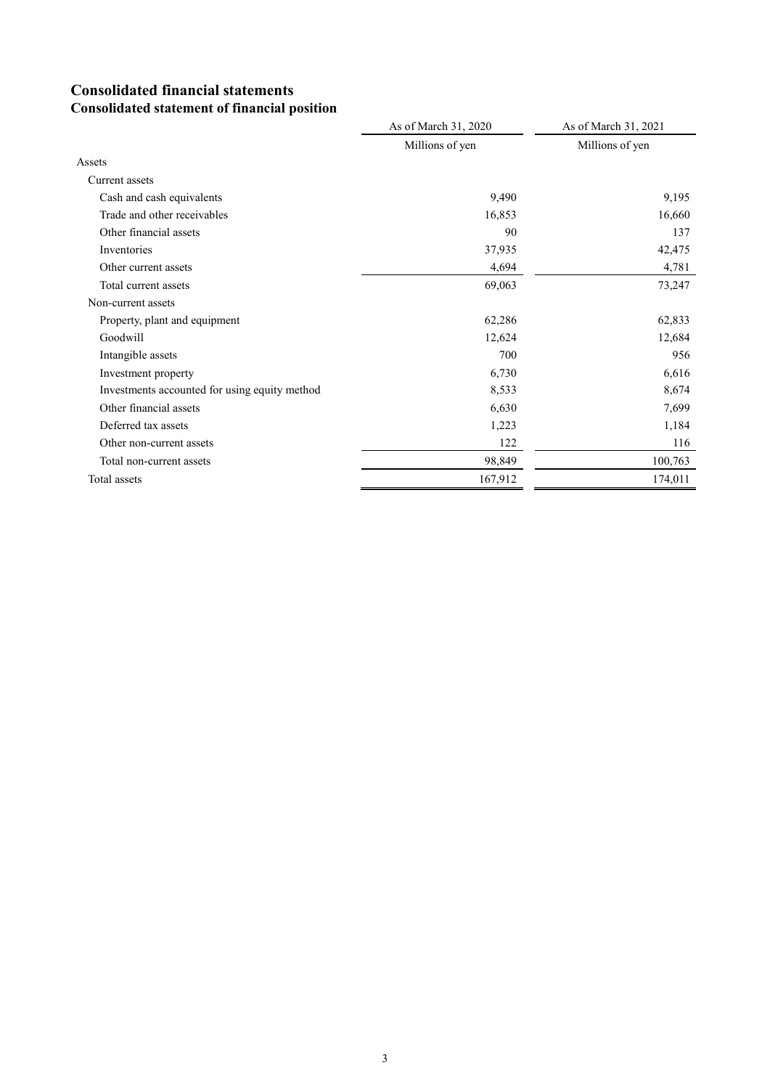## **Consolidated financial statements Consolidated statement of financial position**

|                                               | As of March 31, 2020 | As of March 31, 2021 |
|-----------------------------------------------|----------------------|----------------------|
|                                               | Millions of yen      | Millions of yen      |
| Assets                                        |                      |                      |
| Current assets                                |                      |                      |
| Cash and cash equivalents                     | 9,490                | 9,195                |
| Trade and other receivables                   | 16,853               | 16,660               |
| Other financial assets                        | 90                   | 137                  |
| Inventories                                   | 37,935               | 42,475               |
| Other current assets                          | 4,694                | 4,781                |
| Total current assets                          | 69,063               | 73,247               |
| Non-current assets                            |                      |                      |
| Property, plant and equipment                 | 62,286               | 62,833               |
| Goodwill                                      | 12,624               | 12,684               |
| Intangible assets                             | 700                  | 956                  |
| Investment property                           | 6,730                | 6,616                |
| Investments accounted for using equity method | 8,533                | 8,674                |
| Other financial assets                        | 6,630                | 7,699                |
| Deferred tax assets                           | 1,223                | 1,184                |
| Other non-current assets                      | 122                  | 116                  |
| Total non-current assets                      | 98,849               | 100,763              |
| Total assets                                  | 167,912              | 174,011              |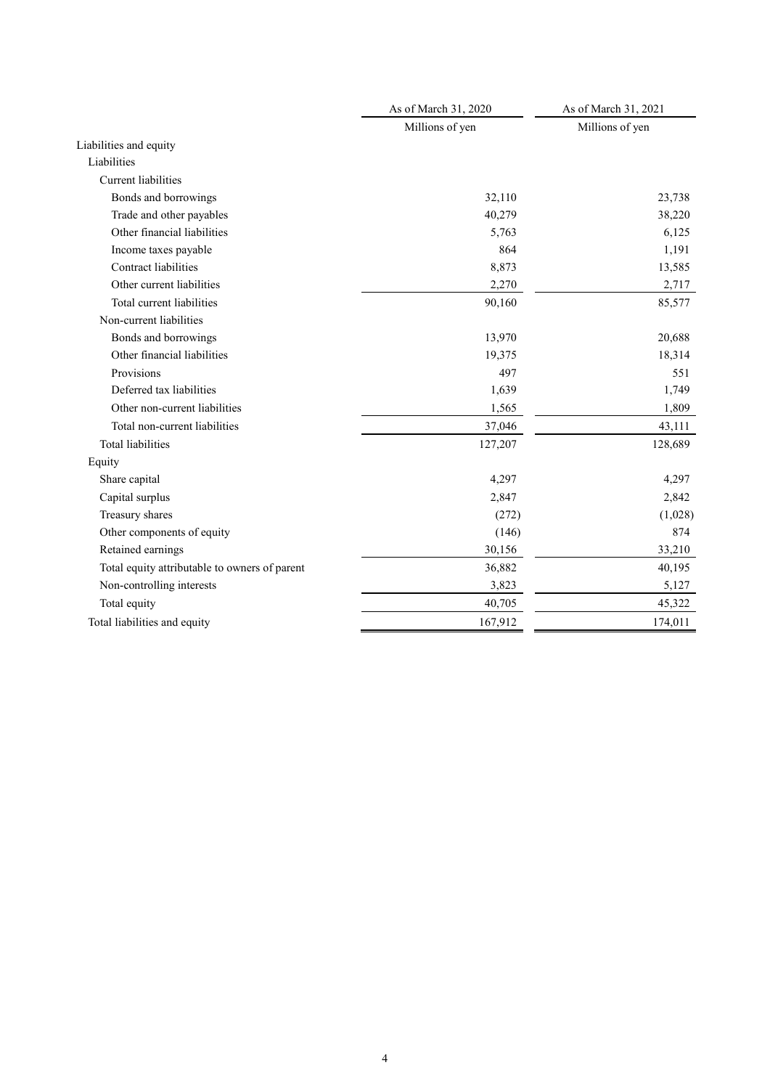|                                               | As of March 31, 2020 | As of March 31, 2021 |
|-----------------------------------------------|----------------------|----------------------|
|                                               | Millions of yen      | Millions of yen      |
| Liabilities and equity                        |                      |                      |
| Liabilities                                   |                      |                      |
| <b>Current liabilities</b>                    |                      |                      |
| Bonds and borrowings                          | 32,110               | 23,738               |
| Trade and other payables                      | 40,279               | 38,220               |
| Other financial liabilities                   | 5,763                | 6,125                |
| Income taxes payable                          | 864                  | 1,191                |
| <b>Contract liabilities</b>                   | 8,873                | 13,585               |
| Other current liabilities                     | 2,270                | 2,717                |
| Total current liabilities                     | 90,160               | 85,577               |
| Non-current liabilities                       |                      |                      |
| Bonds and borrowings                          | 13,970               | 20,688               |
| Other financial liabilities                   | 19,375               | 18,314               |
| Provisions                                    | 497                  | 551                  |
| Deferred tax liabilities                      | 1,639                | 1,749                |
| Other non-current liabilities                 | 1,565                | 1,809                |
| Total non-current liabilities                 | 37,046               | 43,111               |
| <b>Total liabilities</b>                      | 127,207              | 128,689              |
| Equity                                        |                      |                      |
| Share capital                                 | 4,297                | 4,297                |
| Capital surplus                               | 2,847                | 2,842                |
| Treasury shares                               | (272)                | (1,028)              |
| Other components of equity                    | (146)                | 874                  |
| Retained earnings                             | 30,156               | 33,210               |
| Total equity attributable to owners of parent | 36,882               | 40,195               |
| Non-controlling interests                     | 3,823                | 5,127                |
| Total equity                                  | 40,705               | 45,322               |
| Total liabilities and equity                  | 167,912              | 174,011              |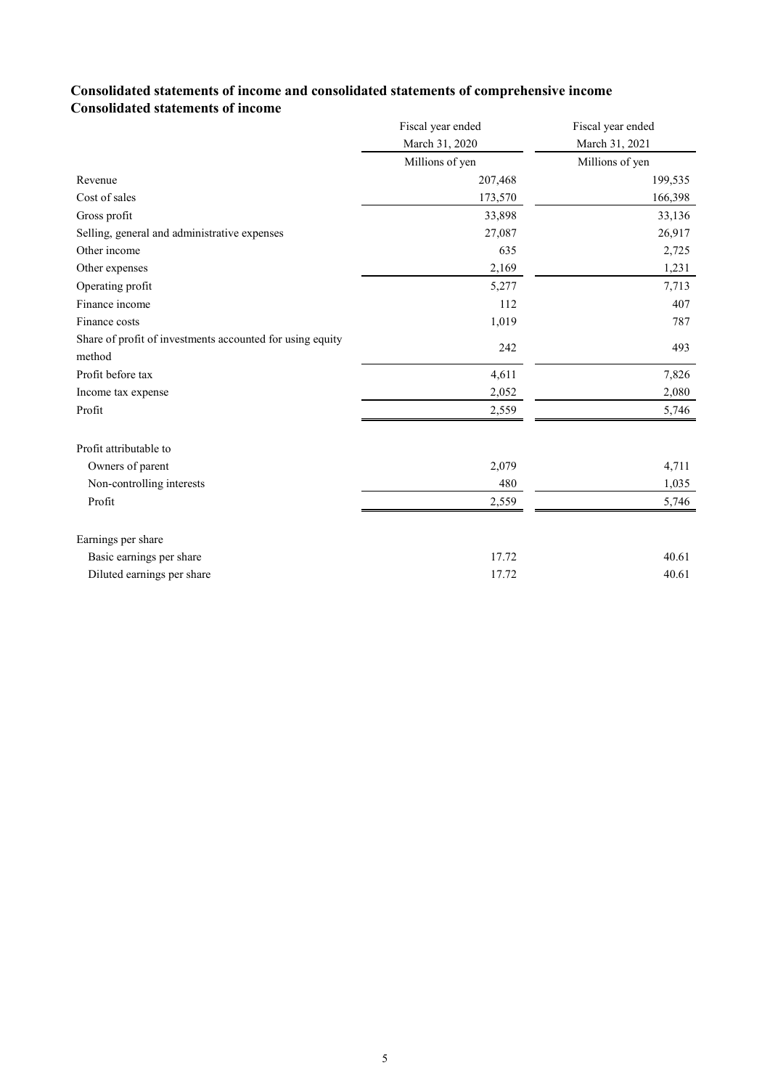### **Consolidated statements of income and consolidated statements of comprehensive income Consolidated statements of income**

|                                                                     | Fiscal year ended | Fiscal year ended |
|---------------------------------------------------------------------|-------------------|-------------------|
|                                                                     | March 31, 2020    | March 31, 2021    |
|                                                                     | Millions of yen   | Millions of yen   |
| Revenue                                                             | 207,468           | 199,535           |
| Cost of sales                                                       | 173,570           | 166,398           |
| Gross profit                                                        | 33,898            | 33,136            |
| Selling, general and administrative expenses                        | 27,087            | 26,917            |
| Other income                                                        | 635               | 2,725             |
| Other expenses                                                      | 2,169             | 1,231             |
| Operating profit                                                    | 5,277             | 7,713             |
| Finance income                                                      | 112               | 407               |
| Finance costs                                                       | 1,019             | 787               |
| Share of profit of investments accounted for using equity<br>method | 242               | 493               |
|                                                                     |                   |                   |
| Profit before tax                                                   | 4,611             | 7,826             |
| Income tax expense                                                  | 2,052             | 2,080             |
| Profit                                                              | 2,559             | 5,746             |
| Profit attributable to                                              |                   |                   |
| Owners of parent                                                    | 2,079             | 4,711             |
| Non-controlling interests                                           | 480               | 1,035             |
| Profit                                                              | 2,559             | 5,746             |
| Earnings per share                                                  |                   |                   |
| Basic earnings per share                                            | 17.72             | 40.61             |
| Diluted earnings per share                                          | 17.72             | 40.61             |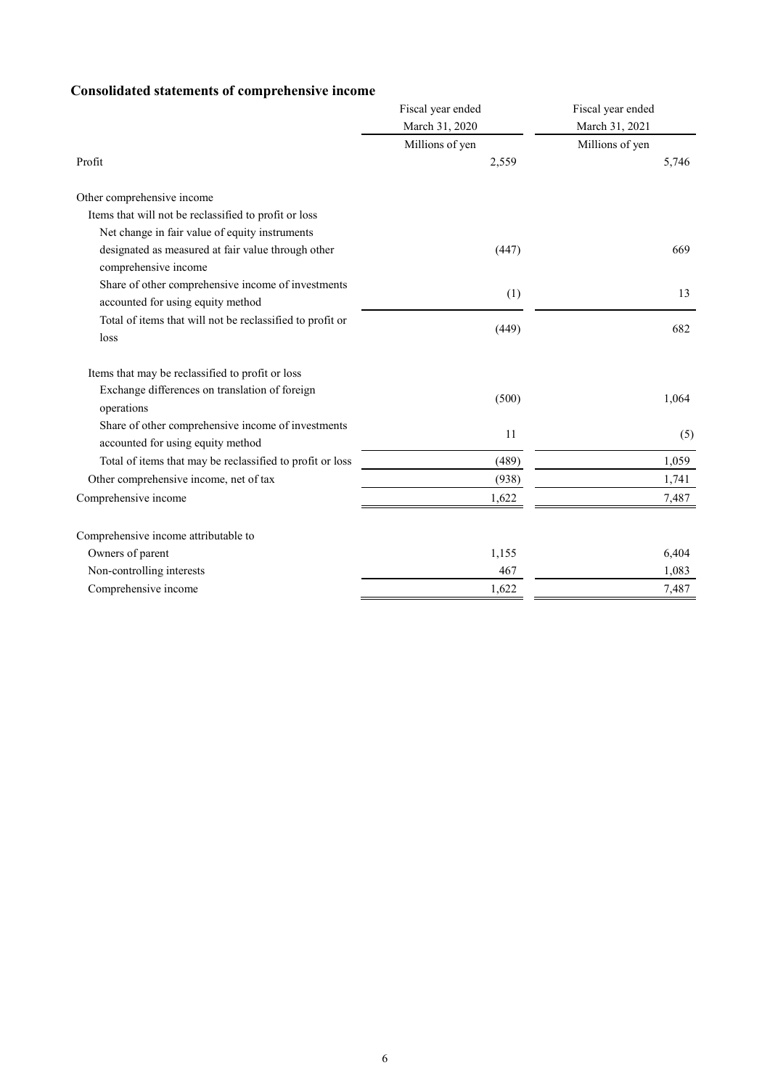## **Consolidated statements of comprehensive income**

| nsonaatoa suttentus or comp                                                             | Fiscal year ended<br>March 31, 2020 | Fiscal year ended<br>March 31, 2021 |  |
|-----------------------------------------------------------------------------------------|-------------------------------------|-------------------------------------|--|
|                                                                                         | Millions of yen                     | Millions of yen                     |  |
| Profit                                                                                  | 2,559                               | 5,746                               |  |
| Other comprehensive income                                                              |                                     |                                     |  |
| Items that will not be reclassified to profit or loss                                   |                                     |                                     |  |
| Net change in fair value of equity instruments                                          |                                     |                                     |  |
| designated as measured at fair value through other<br>comprehensive income              | (447)                               | 669                                 |  |
| Share of other comprehensive income of investments<br>accounted for using equity method | (1)                                 | 13                                  |  |
| Total of items that will not be reclassified to profit or<br>loss                       | (449)                               | 682                                 |  |
| Items that may be reclassified to profit or loss                                        |                                     |                                     |  |
| Exchange differences on translation of foreign<br>operations                            | (500)                               | 1,064                               |  |
| Share of other comprehensive income of investments<br>accounted for using equity method | 11                                  | (5)                                 |  |
| Total of items that may be reclassified to profit or loss                               | (489)                               | 1,059                               |  |
| Other comprehensive income, net of tax                                                  | (938)                               | 1,741                               |  |
| Comprehensive income                                                                    | 1,622                               | 7,487                               |  |
| Comprehensive income attributable to                                                    |                                     |                                     |  |
| Owners of parent                                                                        | 1,155                               | 6,404                               |  |
| Non-controlling interests                                                               | 467                                 | 1,083                               |  |
| Comprehensive income                                                                    | 1,622                               | 7,487                               |  |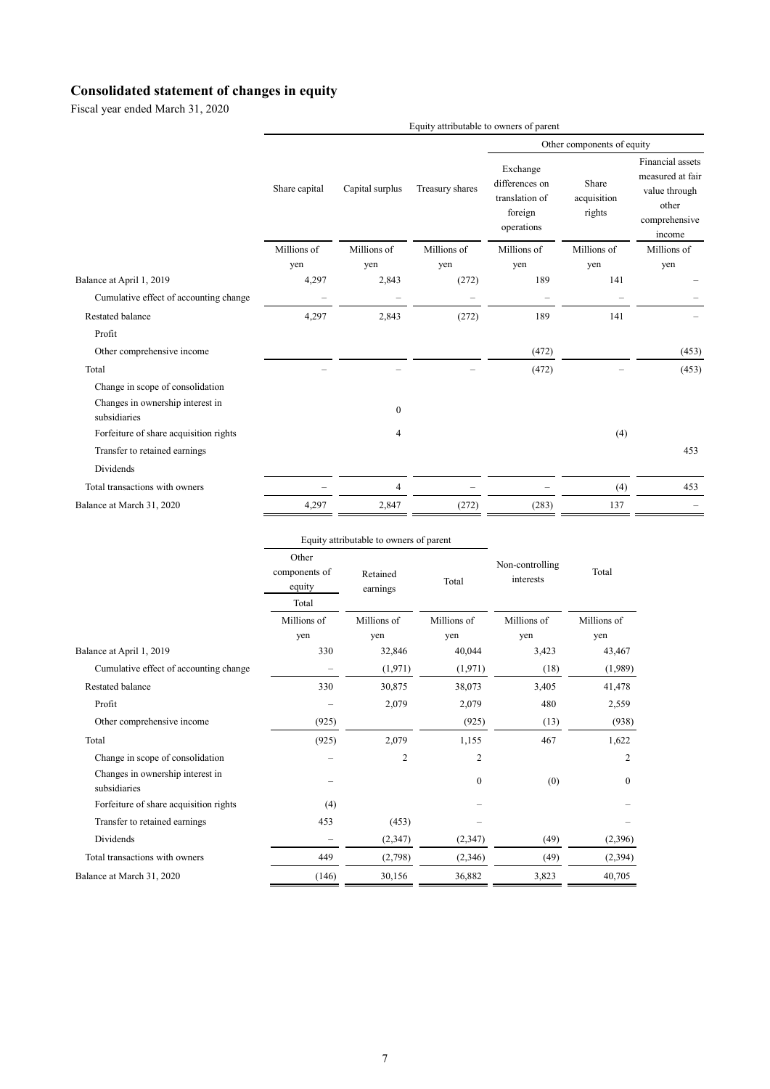## **Consolidated statement of changes in equity**

Fiscal year ended March 31, 2020

|                                                                                      | Equity attributable to owners of parent |                          |                          |                                                                       |                                |                                                                                           |
|--------------------------------------------------------------------------------------|-----------------------------------------|--------------------------|--------------------------|-----------------------------------------------------------------------|--------------------------------|-------------------------------------------------------------------------------------------|
|                                                                                      |                                         |                          |                          | Other components of equity                                            |                                |                                                                                           |
|                                                                                      | Share capital                           | Capital surplus          | Treasury shares          | Exchange<br>differences on<br>translation of<br>foreign<br>operations | Share<br>acquisition<br>rights | Financial assets<br>measured at fair<br>value through<br>other<br>comprehensive<br>income |
|                                                                                      | Millions of                             | Millions of              | Millions of              | Millions of                                                           | Millions of                    | Millions of                                                                               |
|                                                                                      | yen                                     | yen                      | yen                      | yen                                                                   | yen                            | yen                                                                                       |
| Balance at April 1, 2019                                                             | 4,297                                   | 2,843                    | (272)                    | 189                                                                   | 141                            |                                                                                           |
| Cumulative effect of accounting change                                               |                                         | $\overline{\phantom{0}}$ | $\overline{\phantom{0}}$ | $\qquad \qquad -$                                                     |                                |                                                                                           |
| Restated balance                                                                     | 4,297                                   | 2,843                    | (272)                    | 189                                                                   | 141                            |                                                                                           |
| Profit                                                                               |                                         |                          |                          |                                                                       |                                |                                                                                           |
| Other comprehensive income                                                           |                                         |                          |                          | (472)                                                                 |                                | (453)                                                                                     |
| Total                                                                                |                                         |                          |                          | (472)                                                                 |                                | (453)                                                                                     |
| Change in scope of consolidation<br>Changes in ownership interest in<br>subsidiaries |                                         | $\mathbf{0}$             |                          |                                                                       |                                |                                                                                           |
| Forfeiture of share acquisition rights                                               |                                         | 4                        |                          |                                                                       | (4)                            |                                                                                           |
| Transfer to retained earnings                                                        |                                         |                          |                          |                                                                       |                                | 453                                                                                       |
| Dividends                                                                            |                                         |                          |                          |                                                                       |                                |                                                                                           |
| Total transactions with owners                                                       |                                         | 4                        |                          |                                                                       | (4)                            | 453                                                                                       |
| Balance at March 31, 2020                                                            | 4,297                                   | 2,847                    | (272)                    | (283)                                                                 | 137                            |                                                                                           |

|                                                  |                                                                   | Equity attributable to owners of parent |                | Total       |                              |
|--------------------------------------------------|-------------------------------------------------------------------|-----------------------------------------|----------------|-------------|------------------------------|
|                                                  | Other<br>components of<br>Retained<br>equity<br>earnings<br>Total |                                         | Total          |             | Non-controlling<br>interests |
|                                                  | Millions of                                                       | Millions of                             | Millions of    | Millions of | Millions of                  |
|                                                  | yen                                                               | yen                                     | yen            | yen         | yen                          |
| Balance at April 1, 2019                         | 330                                                               | 32,846                                  | 40,044         | 3,423       | 43,467                       |
| Cumulative effect of accounting change           |                                                                   | (1,971)                                 | (1,971)        | (18)        | (1,989)                      |
| <b>Restated balance</b>                          | 330                                                               | 30,875                                  | 38,073         | 3,405       | 41,478                       |
| Profit                                           |                                                                   | 2,079                                   | 2,079          | 480         | 2,559                        |
| Other comprehensive income                       | (925)                                                             |                                         | (925)          | (13)        | (938)                        |
| Total                                            | (925)                                                             | 2,079                                   | 1,155          | 467         | 1,622                        |
| Change in scope of consolidation                 |                                                                   | $\overline{c}$                          | $\overline{c}$ |             | 2                            |
| Changes in ownership interest in<br>subsidiaries |                                                                   |                                         | $\Omega$       | (0)         | $\theta$                     |
| Forfeiture of share acquisition rights           | (4)                                                               |                                         |                |             |                              |
| Transfer to retained earnings                    | 453                                                               | (453)                                   |                |             |                              |
| Dividends                                        |                                                                   | (2, 347)                                | (2,347)        | (49)        | (2,396)                      |
| Total transactions with owners                   | 449                                                               | (2,798)                                 | (2,346)        | (49)        | (2,394)                      |
| Balance at March 31, 2020                        | (146)                                                             | 30,156                                  | 36,882         | 3,823       | 40,705                       |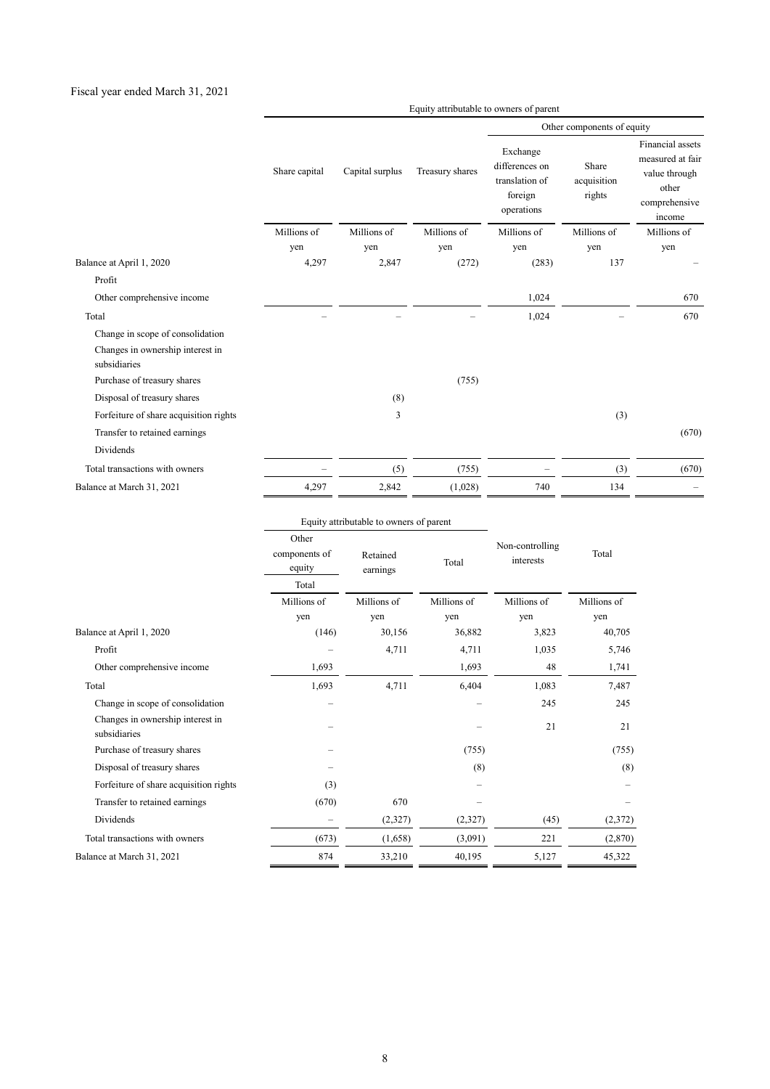#### Fiscal year ended March 31, 2021

|                                                  |               |                 | Other components of equity |                                                                       |                                |                                                                                           |
|--------------------------------------------------|---------------|-----------------|----------------------------|-----------------------------------------------------------------------|--------------------------------|-------------------------------------------------------------------------------------------|
|                                                  | Share capital | Capital surplus | Treasury shares            | Exchange<br>differences on<br>translation of<br>foreign<br>operations | Share<br>acquisition<br>rights | Financial assets<br>measured at fair<br>value through<br>other<br>comprehensive<br>income |
|                                                  | Millions of   | Millions of     | Millions of                | Millions of                                                           | Millions of                    | Millions of                                                                               |
|                                                  | yen           | yen             | yen                        | yen                                                                   | yen                            | yen                                                                                       |
| Balance at April 1, 2020                         | 4,297         | 2,847           | (272)                      | (283)                                                                 | 137                            |                                                                                           |
| Profit                                           |               |                 |                            |                                                                       |                                |                                                                                           |
| Other comprehensive income                       |               |                 |                            | 1,024                                                                 |                                | 670                                                                                       |
| Total                                            |               |                 |                            | 1,024                                                                 |                                | 670                                                                                       |
| Change in scope of consolidation                 |               |                 |                            |                                                                       |                                |                                                                                           |
| Changes in ownership interest in<br>subsidiaries |               |                 |                            |                                                                       |                                |                                                                                           |
| Purchase of treasury shares                      |               |                 | (755)                      |                                                                       |                                |                                                                                           |
| Disposal of treasury shares                      |               | (8)             |                            |                                                                       |                                |                                                                                           |
| Forfeiture of share acquisition rights           |               | 3               |                            |                                                                       | (3)                            |                                                                                           |
| Transfer to retained earnings                    |               |                 |                            |                                                                       |                                | (670)                                                                                     |
| Dividends                                        |               |                 |                            |                                                                       |                                |                                                                                           |
| Total transactions with owners                   |               | (5)             | (755)                      |                                                                       | (3)                            | (670)                                                                                     |
| Balance at March 31, 2021                        | 4,297         | 2,842           | (1,028)                    | 740                                                                   | 134                            |                                                                                           |

Equity attributable to owners of parent

|                                                  |                                                                   | Equity attributable to owners of parent |             | Total       |                              |
|--------------------------------------------------|-------------------------------------------------------------------|-----------------------------------------|-------------|-------------|------------------------------|
|                                                  | Other<br>components of<br>Retained<br>equity<br>earnings<br>Total |                                         | Total       |             | Non-controlling<br>interests |
|                                                  | Millions of                                                       | Millions of                             | Millions of | Millions of | Millions of                  |
|                                                  | yen                                                               | yen                                     | yen         | yen         | yen                          |
| Balance at April 1, 2020                         | (146)                                                             | 30,156                                  | 36,882      | 3,823       | 40,705                       |
| Profit                                           |                                                                   | 4,711                                   | 4,711       | 1,035       | 5,746                        |
| Other comprehensive income                       | 1,693                                                             |                                         | 1,693       | 48          | 1,741                        |
| Total                                            | 1,693                                                             | 4,711                                   | 6,404       | 1,083       | 7,487                        |
| Change in scope of consolidation                 |                                                                   |                                         |             | 245         | 245                          |
| Changes in ownership interest in<br>subsidiaries |                                                                   |                                         |             | 21          | 21                           |
| Purchase of treasury shares                      |                                                                   |                                         | (755)       |             | (755)                        |
| Disposal of treasury shares                      |                                                                   |                                         | (8)         |             | (8)                          |
| Forfeiture of share acquisition rights           | (3)                                                               |                                         |             |             |                              |
| Transfer to retained earnings                    | (670)                                                             | 670                                     |             |             |                              |
| Dividends                                        |                                                                   | (2,327)                                 | (2,327)     | (45)        | (2,372)                      |
| Total transactions with owners                   | (673)                                                             | (1,658)                                 | (3,091)     | 221         | (2,870)                      |
| Balance at March 31, 2021                        | 874                                                               | 33,210                                  | 40,195      | 5,127       | 45,322                       |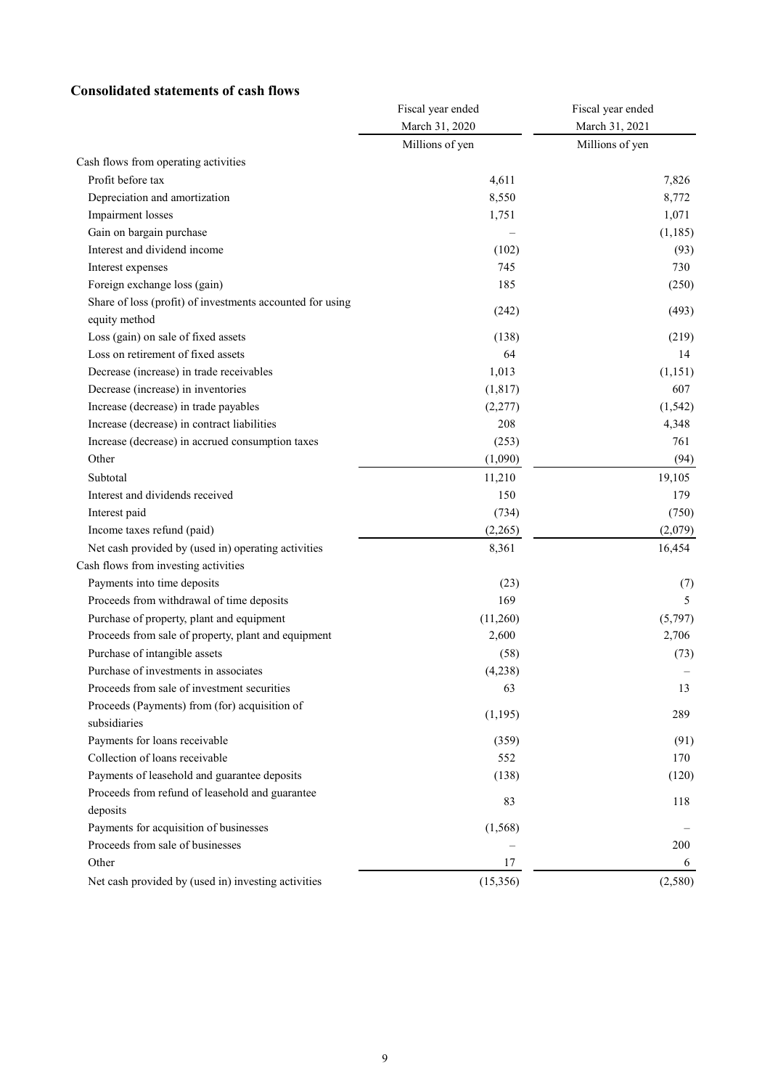#### **Consolidated statements of cash flows**

|                                                           | Fiscal year ended | Fiscal year ended |  |
|-----------------------------------------------------------|-------------------|-------------------|--|
|                                                           | March 31, 2020    | March 31, 2021    |  |
|                                                           | Millions of yen   | Millions of yen   |  |
| Cash flows from operating activities                      |                   |                   |  |
| Profit before tax                                         | 4,611             | 7,826             |  |
| Depreciation and amortization                             | 8,550             | 8,772             |  |
| Impairment losses                                         | 1,751             | 1,071             |  |
| Gain on bargain purchase                                  |                   | (1, 185)          |  |
| Interest and dividend income                              | (102)             | (93)              |  |
| Interest expenses                                         | 745               | 730               |  |
| Foreign exchange loss (gain)                              | 185               | (250)             |  |
| Share of loss (profit) of investments accounted for using |                   |                   |  |
| equity method                                             | (242)             | (493)             |  |
| Loss (gain) on sale of fixed assets                       | (138)             | (219)             |  |
| Loss on retirement of fixed assets                        | 64                | 14                |  |
| Decrease (increase) in trade receivables                  | 1,013             | (1,151)           |  |
| Decrease (increase) in inventories                        | (1, 817)          | 607               |  |
| Increase (decrease) in trade payables                     | (2,277)           | (1, 542)          |  |
| Increase (decrease) in contract liabilities               | 208               | 4,348             |  |
| Increase (decrease) in accrued consumption taxes          | (253)             | 761               |  |
| Other                                                     | (1,090)           | (94)              |  |
| Subtotal                                                  | 11,210            | 19,105            |  |
| Interest and dividends received                           | 150               | 179               |  |
| Interest paid                                             | (734)             | (750)             |  |
| Income taxes refund (paid)                                | (2,265)           | (2,079)           |  |
| Net cash provided by (used in) operating activities       | 8,361             | 16,454            |  |
| Cash flows from investing activities                      |                   |                   |  |
| Payments into time deposits                               | (23)              | (7)               |  |
| Proceeds from withdrawal of time deposits                 | 169               | 5                 |  |
| Purchase of property, plant and equipment                 | (11,260)          | (5,797)           |  |
| Proceeds from sale of property, plant and equipment       | 2,600             | 2,706             |  |
| Purchase of intangible assets                             | (58)              | (73)              |  |
| Purchase of investments in associates                     | (4,238)           |                   |  |
| Proceeds from sale of investment securities               | 63                | 13                |  |
| Proceeds (Payments) from (for) acquisition of             |                   |                   |  |
| subsidiaries                                              | (1, 195)          | 289               |  |
| Payments for loans receivable                             | (359)             | (91)              |  |
| Collection of loans receivable                            | 552               | 170               |  |
| Payments of leasehold and guarantee deposits              | (138)             | (120)             |  |
| Proceeds from refund of leasehold and guarantee           | 83                | 118               |  |
| deposits                                                  |                   |                   |  |
| Payments for acquisition of businesses                    | (1, 568)          |                   |  |
| Proceeds from sale of businesses                          |                   | 200               |  |
| Other                                                     | 17                | 6                 |  |
| Net cash provided by (used in) investing activities       | (15,356)          | (2,580)           |  |